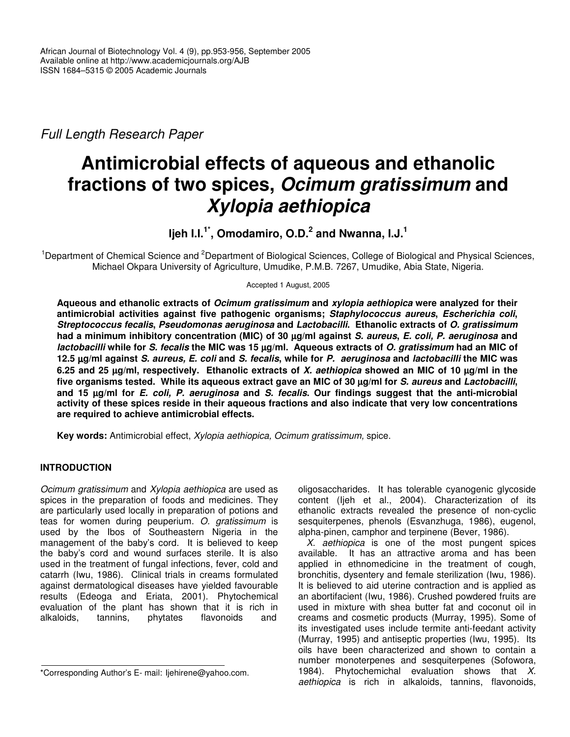*Full Length Research Paper*

# **Antimicrobial effects of aqueous and ethanolic fractions of two spices,** *Ocimum gratissimum* **and** *Xylopia aethiopica*

# **Ijeh I.I. 1\* , Omodamiro, O.D. 2 and Nwanna, I.J. 1**

<sup>1</sup>Department of Chemical Science and <sup>2</sup>Department of Biological Sciences, College of Biological and Physical Sciences, Michael Okpara University of Agriculture, Umudike, P.M.B. 7267, Umudike, Abia State, Nigeria.

Accepted 1 August, 2005

**Aqueous and ethanolic extracts of** *Ocimum gratissimum* **and** *xylopia aethiopica* **were analyzed for their antimicrobial activities against five pathogenic organisms;** *Staphylococcus aureus***,** *Escherichia coli***,** *Streptococcus fecalis***,** *Pseudomonas aeruginosa* **and** *Lactobacilli***. Ethanolic extracts of** *O. gratissimum* had a minimum inhibitory concentration (MIC) of 30 µg/ml against S. aureus, E. coli, P. aeruginosa and lactobacilli while for S. fecalis the MIC was 15 µg/ml. Aqueous extracts of O. gratissimum had an MIC of 12.5 µg/ml against S. aureus, E. coli and S. fecalis, while for P. aeruginosa and lactobacilli the MIC was 6.25 and 25  $\mu q$ /ml, respectively. Ethanolic extracts of X. aethiopica showed an MIC of 10  $\mu q$ /ml in the five organisms tested. While its aqueous extract gave an MIC of 30 µg/ml for S. aureus and Lactobacilli, and 15 µg/ml for E. coli, P. aeruginosa and S. fecalis. Our findings suggest that the anti-microbial **activity of these spices reside in their aqueous fractions and also indicate that very low concentrations are required to achieve antimicrobial effects.**

**Key words:** Antimicrobial effect, *Xylopia aethiopica, Ocimum gratissimum,* spice.

## **INTRODUCTION**

*Ocimum gratissimum* and *Xylopia aethiopica* are used as spices in the preparation of foods and medicines. They are particularly used locally in preparation of potions and teas for women during peuperium. *O. gratissimum* is used by the Ibos of Southeastern Nigeria in the management of the baby's cord. It is believed to keep the baby's cord and wound surfaces sterile. It is also used in the treatment of fungal infections, fever, cold and catarrh (Iwu, 1986). Clinical trials in creams formulated against dermatological diseases have yielded favourable results (Edeoga and Eriata, 2001). Phytochemical evaluation of the plant has shown that it is rich in alkaloids, tannins, phytates flavonoids and

oligosaccharides. It has tolerable cyanogenic glycoside content (Ijeh et al., 2004). Characterization of its ethanolic extracts revealed the presence of non-cyclic sesquiterpenes, phenols (Esvanzhuga, 1986), eugenol, alpha-pinen, camphor and terpinene (Bever, 1986).

*X. aethiopica* is one of the most pungent spices available. It has an attractive aroma and has been applied in ethnomedicine in the treatment of cough, bronchitis, dysentery and female sterilization (Iwu, 1986). It is believed to aid uterine contraction and is applied as an abortifacient (Iwu, 1986). Crushed powdered fruits are used in mixture with shea butter fat and coconut oil in creams and cosmetic products (Murray, 1995). Some of its investigated uses include termite anti-feedant activity (Murray, 1995) and antiseptic properties (Iwu, 1995). Its oils have been characterized and shown to contain a number monoterpenes and sesquiterpenes (Sofowora, 1984). Phytochemichal evaluation shows that *X. aethiopica* is rich in alkaloids, tannins, flavonoids,

<sup>\*</sup>Corresponding Author's E- mail: Ijehirene@yahoo.com.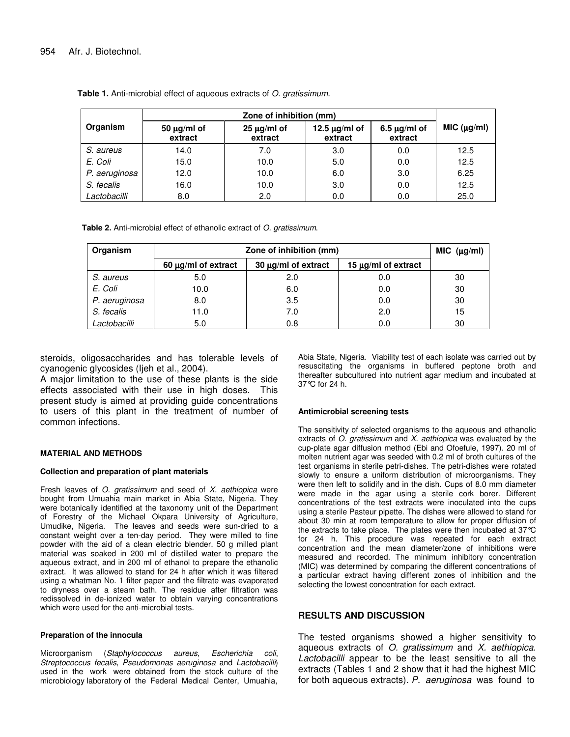|               | Zone of inhibition (mm)     |                             |                               |                              |             |
|---------------|-----------------------------|-----------------------------|-------------------------------|------------------------------|-------------|
| Organism      | 50 $\mu$ g/ml of<br>extract | $25 \mu g/ml$ of<br>extract | 12.5 $\mu$ g/ml of<br>extract | $6.5 \mu g/ml$ of<br>extract | MIC (µg/ml) |
| S. aureus     | 14.0                        | 7.0                         | 3.0                           | 0.0                          | 12.5        |
| E. Coli       | 15.0                        | 10.0                        | 5.0                           | 0.0                          | 12.5        |
| P. aeruginosa | 12.0                        | 10.0                        | 6.0                           | 3.0                          | 6.25        |
| S. fecalis    | 16.0                        | 10.0                        | 3.0                           | 0.0                          | 12.5        |
| Lactobacilli  | 8.0                         | 2.0                         | 0.0                           | 0.0                          | 25.0        |

**Table 1.** Anti-microbial effect of aqueous extracts of *O. gratissimum*.

**Table 2.** Anti-microbial effect of ethanolic extract of *O. gratissimum*.

| Organism      | Zone of inhibition (mm)  |                          |                          | MIC (µg/ml) |
|---------------|--------------------------|--------------------------|--------------------------|-------------|
|               | 60 $\mu$ g/ml of extract | 30 $\mu$ g/ml of extract | 15 $\mu$ g/ml of extract |             |
| S. aureus     | 5.0                      | 2.0                      | 0.0                      | 30          |
| E. Coli       | 10.0                     | 6.0                      | 0.0                      | 30          |
| P. aeruginosa | 8.0                      | 3.5                      | 0.0                      | 30          |
| S. fecalis    | 11.0                     | 7.0                      | 2.0                      | 15          |
| Lactobacilli  | 5.0                      | 0.8                      | 0.0                      | 30          |

steroids, oligosaccharides and has tolerable levels of cyanogenic glycosides (Ijeh et al., 2004).

A major limitation to the use of these plants is the side effects associated with their use in high doses. This present study is aimed at providing guide concentrations to users of this plant in the treatment of number of common infections.

#### **MATERIAL AND METHODS**

#### **Collection and preparation of plant materials**

Fresh leaves of *O. gratissimum* and seed of *X. aethiopica* were bought from Umuahia main market in Abia State, Nigeria. They were botanically identified at the taxonomy unit of the Department of Forestry of the Michael Okpara University of Agriculture, Umudike, Nigeria. The leaves and seeds were sun-dried to a constant weight over a ten-day period. They were milled to fine powder with the aid of a clean electric blender. 50 g milled plant material was soaked in 200 ml of distilled water to prepare the aqueous extract, and in 200 ml of ethanol to prepare the ethanolic extract. It was allowed to stand for 24 h after which it was filtered using a whatman No. 1 filter paper and the filtrate was evaporated to dryness over a steam bath. The residue after filtration was redissolved in de-ionized water to obtain varying concentrations which were used for the anti-microbial tests.

#### **Preparation of the innocula**

Microorganism (*Staphylococcus aureus*, *Escherichia coli*, *Streptococcus fecalis*, *Pseudomonas aeruginosa* and *Lactobacilli*) used in the work were obtained from the stock culture of the microbiology laboratory of the Federal Medical Center, Umuahia,

Abia State, Nigeria. Viability test of each isolate was carried out by resuscitating the organisms in buffered peptone broth and thereafter subcultured into nutrient agar medium and incubated at 37°C for 24 h.

#### **Antimicrobial screening tests**

The sensitivity of selected organisms to the aqueous and ethanolic extracts of *O. gratissimum* and *X*. *aethiopica* was evaluated by the cup-plate agar diffusion method (Ebi and Ofoefule, 1997). 20 ml of molten nutrient agar was seeded with 0.2 ml of broth cultures of the test organisms in sterile petri-dishes. The petri-dishes were rotated slowly to ensure a uniform distribution of microorganisms. They were then left to solidify and in the dish. Cups of 8.0 mm diameter were made in the agar using a sterile cork borer. Different concentrations of the test extracts were inoculated into the cups using a sterile Pasteur pipette. The dishes were allowed to stand for about 30 min at room temperature to allow for proper diffusion of the extracts to take place. The plates were then incubated at 37°C for 24 h. This procedure was repeated for each extract concentration and the mean diameter/zone of inhibitions were measured and recorded. The minimum inhibitory concentration (MIC) was determined by comparing the different concentrations of a particular extract having different zones of inhibition and the selecting the lowest concentration for each extract.

### **RESULTS AND DISCUSSION**

The tested organisms showed a higher sensitivity to aqueous extracts of *O. gratissimum* and *X. aethiopica*. *Lactobacilli* appear to be the least sensitive to all the extracts (Tables 1 and 2 show that it had the highest MIC for both aqueous extracts). *P. aeruginosa* was found to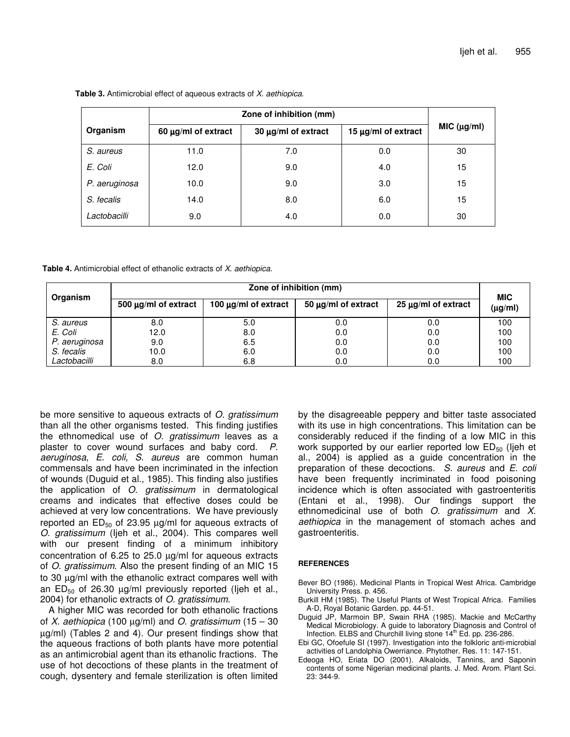|               | Zone of inhibition (mm)  |                     |                     |             |
|---------------|--------------------------|---------------------|---------------------|-------------|
| Organism      | 60 $\mu$ g/ml of extract | 30 µg/ml of extract | 15 µg/ml of extract | MIC (µg/ml) |
| S. aureus     | 11.0                     | 7.0                 | 0.0                 | 30          |
| E. Coli       | 12.0                     | 9.0                 | 4.0                 | 15          |
| P. aeruginosa | 10.0                     | 9.0                 | 3.0                 | 15          |
| S. fecalis    | 14.0                     | 8.0                 | 6.0                 | 15          |
| Lactobacilli  | 9.0                      | 4.0                 | 0.0                 | 30          |

**Table 3.** Antimicrobial effect of aqueous extracts of *X. aethiopica*.

**Table 4.** Antimicrobial effect of ethanolic extracts of *X. aethiopica*.

| Organism      | Zone of inhibition (mm)   |                           |                          |                          | <b>MIC</b>   |
|---------------|---------------------------|---------------------------|--------------------------|--------------------------|--------------|
|               | 500 $\mu$ g/ml of extract | 100 $\mu$ g/ml of extract | 50 $\mu$ g/ml of extract | 25 $\mu$ g/ml of extract | $(\mu g/ml)$ |
| S. aureus     | 8.0                       | 5.0                       | 0.0                      | 0.0                      | 100          |
| E. Coli       | 12.0                      | 8.0                       | 0.0                      | 0.0                      | 100          |
| P. aeruginosa | 9.0                       | 6.5                       | 0.0                      | 0.0                      | 100          |
| S. fecalis    | 10.0                      | 6.0                       | 0.0                      | 0.0                      | 100          |
| Lactobacilli  | 8.0                       | 6.8                       | 0.0                      | 0.0                      | 100          |

be more sensitive to aqueous extracts of *O. gratissimum* than all the other organisms tested. This finding justifies the ethnomedical use of *O. gratissimum* leaves as a plaster to cover wound surfaces and baby cord. *P. aeruginosa*, *E*. *coli, S*. *aureus* are common human commensals and have been incriminated in the infection of wounds (Duguid et al., 1985). This finding also justifies the application of *O. gratissimum* in dermatological creams and indicates that effective doses could be achieved at very low concentrations. We have previously reported an  $ED_{50}$  of 23.95  $\mu$ g/ml for aqueous extracts of *O. gratissimum* (Ijeh et al., 2004). This compares well with our present finding of a minimum inhibitory concentration of 6.25 to 25.0 µg/ml for aqueous extracts of *O. gratissimum*. Also the present finding of an MIC 15 to 30 µg/ml with the ethanolic extract compares well with an  $ED_{50}$  of 26.30  $\mu$ g/ml previously reported (ljeh et al., 2004) for ethanolic extracts of *O. gratissimum*.

A higher MIC was recorded for both ethanolic fractions of *X. aethiopica* (100 µg/ml) and *O. gratissimum* (15 – 30 µg/ml) (Tables 2 and 4). Our present findings show that the aqueous fractions of both plants have more potential as an antimicrobial agent than its ethanolic fractions. The use of hot decoctions of these plants in the treatment of cough, dysentery and female sterilization is often limited by the disagreeable peppery and bitter taste associated with its use in high concentrations. This limitation can be considerably reduced if the finding of a low MIC in this work supported by our earlier reported low  $ED_{50}$  (lieh et al., 2004) is applied as a guide concentration in the preparation of these decoctions. *S. aureus* and *E. coli* have been frequently incriminated in food poisoning incidence which is often associated with gastroenteritis (Entani et al., 1998). Our findings support the ethnomedicinal use of both *O. gratissimum* and *X. aethiopica* in the management of stomach aches and gastroenteritis.

#### **REFERENCES**

- Bever BO (1986). Medicinal Plants in Tropical West Africa. Cambridge University Press. p. 456.
- Burkill HM (1985). The Useful Plants of West Tropical Africa. Families A-D, Royal Botanic Garden. pp. 44-51.
- Duguid JP, Marmoin BP, Swain RHA (1985). Mackie and McCarthy Medical Microbiology. A guide to laboratory Diagnosis and Control of Infection. ELBS and Churchill living stone 14<sup>th</sup> Ed. pp. 236-286.
- Ebi GC, Ofoefule SI (1997). Investigation into the folkloric anti-microbial activities of Landolphia Owerriance. Phytother. Res. 11: 147-151.
- Edeoga HO, Eriata DO (2001). Alkaloids, Tannins, and Saponin contents of some Nigerian medicinal plants. J. Med. Arom. Plant Sci. 23: 344-9.